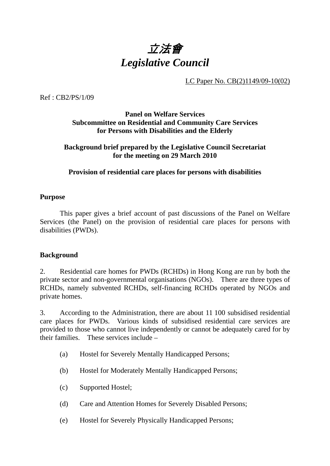

LC Paper No. CB(2)1149/09-10(02)

Ref : CB2/PS/1/09

# **Panel on Welfare Services Subcommittee on Residential and Community Care Services for Persons with Disabilities and the Elderly**

#### **Background brief prepared by the Legislative Council Secretariat for the meeting on 29 March 2010**

#### **Provision of residential care places for persons with disabilities**

#### **Purpose**

. This paper gives a brief account of past discussions of the Panel on Welfare Services (the Panel) on the provision of residential care places for persons with disabilities (PWDs).

#### **Background**

2. Residential care homes for PWDs (RCHDs) in Hong Kong are run by both the private sector and non-governmental organisations (NGOs). There are three types of RCHDs, namely subvented RCHDs, self-financing RCHDs operated by NGOs and private homes.

3. According to the Administration, there are about 11,100 subsidised residential care places for PWDs. Various kinds of subsidised residential care services are provided to those who cannot live independently or cannot be adequately cared for by their families. These services include –

- (a) Hostel for Severely Mentally Handicapped Persons;
- (b) Hostel for Moderately Mentally Handicapped Persons;
- (c) Supported Hostel;
- (d) Care and Attention Homes for Severely Disabled Persons;
- (e) Hostel for Severely Physically Handicapped Persons;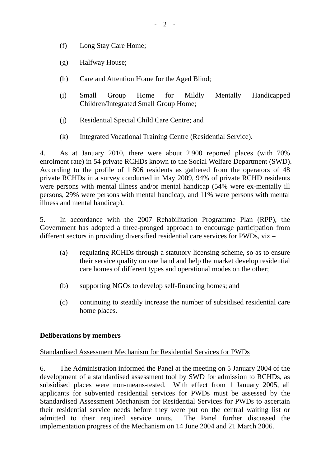- (f) Long Stay Care Home;
- (g) Halfway House;
- (h) Care and Attention Home for the Aged Blind;
- (i) Small Group Home for Mildly Mentally Handicapped Children/Integrated Small Group Home;
- (j) Residential Special Child Care Centre; and
- (k) Integrated Vocational Training Centre (Residential Service).

4. As at January 2010, there were about 2,900 reported places (with 70% enrolment rate) in 54 private RCHDs known to the Social Welfare Department (SWD). According to the profile of 1,806 residents as gathered from the operators of 48 private RCHDs in a survey conducted in May 2009, 94% of private RCHD residents were persons with mental illness and/or mental handicap (54% were ex-mentally ill persons, 29% were persons with mental handicap, and 11% were persons with mental illness and mental handicap).

5. In accordance with the 2007 Rehabilitation Programme Plan (RPP), the Government has adopted a three-pronged approach to encourage participation from different sectors in providing diversified residential care services for PWDs, viz –

- (a) regulating RCHDs through a statutory licensing scheme, so as to ensure their service quality on one hand and help the market develop residential care homes of different types and operational modes on the other;
- (b) supporting NGOs to develop self-financing homes; and
- (c) continuing to steadily increase the number of subsidised residential care home places.

# **Deliberations by members**

# Standardised Assessment Mechanism for Residential Services for PWDs

6. The Administration informed the Panel at the meeting on 5 January 2004 of the development of a standardised assessment tool by SWD for admission to RCHDs, as subsidised places were non-means-tested. With effect from 1 January 2005, all applicants for subvented residential services for PWDs must be assessed by the Standardised Assessment Mechanism for Residential Services for PWDs to ascertain their residential service needs before they were put on the central waiting list or admitted to their required service units. The Panel further discussed the implementation progress of the Mechanism on 14 June 2004 and 21 March 2006.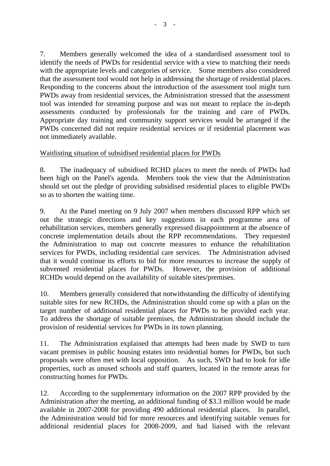7. Members generally welcomed the idea of a standardised assessment tool to identify the needs of PWDs for residential service with a view to matching their needs with the appropriate levels and categories of service. Some members also considered that the assessment tool would not help in addressing the shortage of residential places. Responding to the concerns about the introduction of the assessment tool might turn PWDs away from residential services, the Administration stressed that the assessment tool was intended for streaming purpose and was not meant to replace the in-depth assessments conducted by professionals for the training and care of PWDs. Appropriate day training and community support services would be arranged if the PWDs concerned did not require residential services or if residential placement was not immediately available.

# Waitlisting situation of subsidised residential places for PWDs

8. The inadequacy of subsidised RCHD places to meet the needs of PWDs had been high on the Panel's agenda. Members took the view that the Administration should set out the pledge of providing subsidised residential places to eligible PWDs so as to shorten the waiting time.

9. At the Panel meeting on 9 July 2007 when members discussed RPP which set out the strategic directions and key suggestions in each programme area of rehabilitation services, members generally expressed disappointment at the absence of concrete implementation details about the RPP recommendations. They requested the Administration to map out concrete measures to enhance the rehabilitation services for PWDs, including residential care services. The Administration advised that it would continue its efforts to bid for more resources to increase the supply of subvented residential places for PWDs. However, the provision of additional RCHDs would depend on the availability of suitable sites/premises.

10. Members generally considered that notwithstanding the difficulty of identifying suitable sites for new RCHDs, the Administration should come up with a plan on the target number of additional residential places for PWDs to be provided each year. To address the shortage of suitable premises, the Administration should include the provision of residential services for PWDs in its town planning.

11. The Administration explained that attempts had been made by SWD to turn vacant premises in public housing estates into residential homes for PWDs, but such proposals were often met with local opposition. As such, SWD had to look for idle properties, such as unused schools and staff quarters, located in the remote areas for constructing homes for PWDs.

12. According to the supplementary information on the 2007 RPP provided by the Administration after the meeting, an additional funding of \$3.3 million would be made available in 2007-2008 for providing 490 additional residential places. In parallel, the Administration would bid for more resources and identifying suitable venues for additional residential places for 2008-2009, and had liaised with the relevant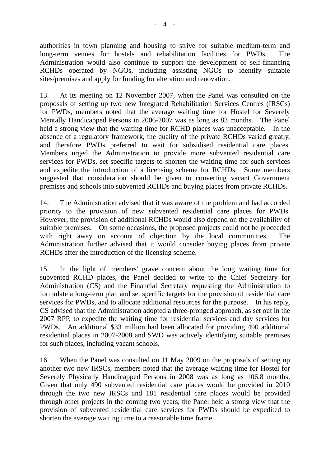authorities in town planning and housing to strive for suitable medium-term and long-term venues for hostels and rehabilitation facilities for PWDs. The Administration would also continue to support the development of self-financing RCHDs operated by NGOs, including assisting NGOs to identify suitable sites/premises and apply for funding for alteration and renovation.

13. At its meeting on 12 November 2007, when the Panel was consulted on the proposals of setting up two new Integrated Rehabilitation Services Centres (IRSCs) for PWDs, members noted that the average waiting time for Hostel for Severely Mentally Handicapped Persons in 2006-2007 was as long as 83 months. The Panel held a strong view that the waiting time for RCHD places was unacceptable. In the absence of a regulatory framework, the quality of the private RCHDs varied greatly, and therefore PWDs preferred to wait for subsidised residential care places. Members urged the Administration to provide more subvented residential care services for PWDs, set specific targets to shorten the waiting time for such services and expedite the introduction of a licensing scheme for RCHDs. Some members suggested that consideration should be given to converting vacant Government premises and schools into subvented RCHDs and buying places from private RCHDs.

14. The Administration advised that it was aware of the problem and had accorded priority to the provision of new subvented residential care places for PWDs. However, the provision of additional RCHDs would also depend on the availability of suitable premises. On some occasions, the proposed projects could not be proceeded with right away on account of objection by the local communities. The Administration further advised that it would consider buying places from private RCHDs after the introduction of the licensing scheme.

15. In the light of members' grave concern about the long waiting time for subvented RCHD places, the Panel decided to write to the Chief Secretary for Administration (CS) and the Financial Secretary requesting the Administration to formulate a long-term plan and set specific targets for the provision of residential care services for PWDs, and to allocate additional resources for the purpose. In his reply, CS advised that the Administration adopted a three-pronged approach, as set out in the 2007 RPP, to expedite the waiting time for residential services and day services for PWDs. An additional \$33 million had been allocated for providing 490 additional residential places in 2007-2008 and SWD was actively identifying suitable premises for such places, including vacant schools.

16. When the Panel was consulted on 11 May 2009 on the proposals of setting up another two new IRSCs, members noted that the average waiting time for Hostel for Severely Physically Handicapped Persons in 2008 was as long as 106.8 months. Given that only 490 subvented residential care places would be provided in 2010 through the two new IRSCs and 181 residential care places would be provided through other projects in the coming two years, the Panel held a strong view that the provision of subvented residential care services for PWDs should be expedited to shorten the average waiting time to a reasonable time frame.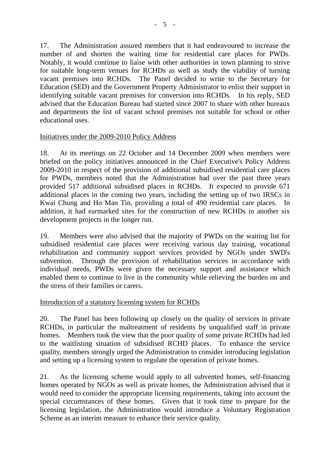17. The Administration assured members that it had endeavoured to increase the number of and shorten the waiting time for residential care places for PWDs. Notably, it would continue to liaise with other authorities in town planning to strive for suitable long-term venues for RCHDs as well as study the viability of turning vacant premises into RCHDs. The Panel decided to write to the Secretary for Education (SED) and the Government Property Administrator to enlist their support in identifying suitable vacant premises for conversion into RCHDs. In his reply, SED advised that the Education Bureau had started since 2007 to share with other bureaux and departments the list of vacant school premises not suitable for school or other educational uses.

#### Initiatives under the 2009-2010 Policy Address

18. At its meetings on 22 October and 14 December 2009 when members were briefed on the policy initiatives announced in the Chief Executive's Policy Address 2009-2010 in respect of the provision of additional subsidised residential care places for PWDs, members noted that the Administration had over the past three years provided 517 additional subsidised places in RCHDs. It expected to provide 671 additional places in the coming two years, including the setting up of two IRSCs in Kwai Chung and Ho Man Tin, providing a total of 490 residential care places. In addition, it had earmarked sites for the construction of new RCHDs in another six development projects in the longer run.

19. Members were also advised that the majority of PWDs on the waiting list for subsidised residential care places were receiving various day training, vocational rehabilitation and community support services provided by NGOs under SWD's subvention. Through the provision of rehabilitation services in accordance with individual needs, PWDs were given the necessary support and assistance which enabled them to continue to live in the community while relieving the burden on and the stress of their families or carers.

# Introduction of a statutory licensing system for RCHDs

20. The Panel has been following up closely on the quality of services in private RCHDs, in particular the maltreatment of residents by unqualified staff in private homes. Members took the view that the poor quality of some private RCHDs had led to the waitlisting situation of subsidised RCHD places. To enhance the service quality, members strongly urged the Administration to consider introducing legislation and setting up a licensing system to regulate the operation of private homes.

21. As the licensing scheme would apply to all subvented homes, self-financing homes operated by NGOs as well as private homes, the Administration advised that it would need to consider the appropriate licensing requirements, taking into account the special circumstances of these homes. Given that it took time to prepare for the licensing legislation, the Administration would introduce a Voluntary Registration Scheme as an interim measure to enhance their service quality.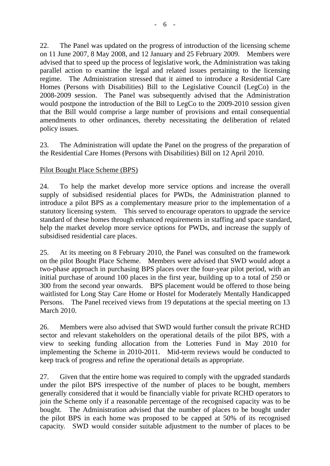22. The Panel was updated on the progress of introduction of the licensing scheme on 11 June 2007, 8 May 2008, and 12 January and 25 February 2009. Members were advised that to speed up the process of legislative work, the Administration was taking parallel action to examine the legal and related issues pertaining to the licensing regime. The Administration stressed that it aimed to introduce a Residential Care Homes (Persons with Disabilities) Bill to the Legislative Council (LegCo) in the 2008-2009 session. The Panel was subsequently advised that the Administration would postpone the introduction of the Bill to LegCo to the 2009-2010 session given that the Bill would comprise a large number of provisions and entail consequential amendments to other ordinances, thereby necessitating the deliberation of related policy issues.

23. The Administration will update the Panel on the progress of the preparation of the Residential Care Homes (Persons with Disabilities) Bill on 12 April 2010.

# Pilot Bought Place Scheme (BPS)

24. To help the market develop more service options and increase the overall supply of subsidised residential places for PWDs, the Administration planned to introduce a pilot BPS as a complementary measure prior to the implementation of a statutory licensing system. This served to encourage operators to upgrade the service standard of these homes through enhanced requirements in staffing and space standard, help the market develop more service options for PWDs, and increase the supply of subsidised residential care places.

25. At its meeting on 8 February 2010, the Panel was consulted on the framework on the pilot Bought Place Scheme. Members were advised that SWD would adopt a two-phase approach in purchasing BPS places over the four-year pilot period, with an initial purchase of around 100 places in the first year, building up to a total of 250 or 300 from the second year onwards. BPS placement would be offered to those being waitlisted for Long Stay Care Home or Hostel for Moderately Mentally Handicapped Persons. The Panel received views from 19 deputations at the special meeting on 13 March 2010.

26. Members were also advised that SWD would further consult the private RCHD sector and relevant stakeholders on the operational details of the pilot BPS, with a view to seeking funding allocation from the Lotteries Fund in May 2010 for implementing the Scheme in 2010-2011. Mid-term reviews would be conducted to keep track of progress and refine the operational details as appropriate.

27. Given that the entire home was required to comply with the upgraded standards under the pilot BPS irrespective of the number of places to be bought, members generally considered that it would be financially viable for private RCHD operators to join the Scheme only if a reasonable percentage of the recognised capacity was to be bought. The Administration advised that the number of places to be bought under the pilot BPS in each home was proposed to be capped at 50% of its recognised capacity. SWD would consider suitable adjustment to the number of places to be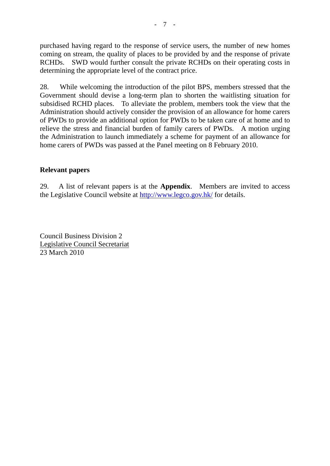purchased having regard to the response of service users, the number of new homes coming on stream, the quality of places to be provided by and the response of private RCHDs. SWD would further consult the private RCHDs on their operating costs in determining the appropriate level of the contract price.

28. While welcoming the introduction of the pilot BPS, members stressed that the Government should devise a long-term plan to shorten the waitlisting situation for subsidised RCHD places. To alleviate the problem, members took the view that the Administration should actively consider the provision of an allowance for home carers of PWDs to provide an additional option for PWDs to be taken care of at home and to relieve the stress and financial burden of family carers of PWDs. A motion urging the Administration to launch immediately a scheme for payment of an allowance for home carers of PWDs was passed at the Panel meeting on 8 February 2010.

#### **Relevant papers**

29. A list of relevant papers is at the **Appendix**. Members are invited to access the Legislative Council website at http://www.legco.gov.hk/ for details.

Council Business Division 2 Legislative Council Secretariat 23 March 2010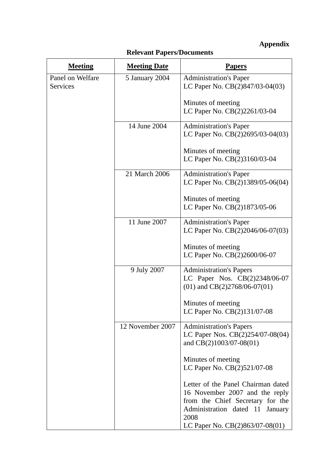# **Appendix**

| <b>Meeting</b>   | <b>Meeting Date</b> | <b>Papers</b>                                                      |
|------------------|---------------------|--------------------------------------------------------------------|
| Panel on Welfare | 5 January 2004      | <b>Administration's Paper</b>                                      |
| Services         |                     | LC Paper No. CB(2)847/03-04(03)                                    |
|                  |                     | Minutes of meeting                                                 |
|                  |                     | LC Paper No. CB(2)2261/03-04                                       |
|                  | 14 June 2004        | <b>Administration's Paper</b>                                      |
|                  |                     | LC Paper No. CB(2)2695/03-04(03)                                   |
|                  |                     | Minutes of meeting                                                 |
|                  |                     | LC Paper No. CB(2)3160/03-04                                       |
|                  | 21 March 2006       | <b>Administration's Paper</b>                                      |
|                  |                     | LC Paper No. CB(2)1389/05-06(04)                                   |
|                  |                     | Minutes of meeting                                                 |
|                  |                     | LC Paper No. CB(2)1873/05-06                                       |
|                  | 11 June 2007        |                                                                    |
|                  |                     | <b>Administration's Paper</b><br>LC Paper No. CB(2)2046/06-07(03)  |
|                  |                     |                                                                    |
|                  |                     | Minutes of meeting<br>LC Paper No. CB(2)2600/06-07                 |
|                  |                     |                                                                    |
|                  | 9 July 2007         | <b>Administration's Papers</b>                                     |
|                  |                     | LC Paper Nos. CB(2)2348/06-07<br>$(01)$ and CB $(2)2768/06-07(01)$ |
|                  |                     | Minutes of meeting                                                 |
|                  |                     | LC Paper No. CB(2)131/07-08                                        |
|                  | 12 November 2007    | <b>Administration's Papers</b>                                     |
|                  |                     | LC Paper Nos. CB(2)254/07-08(04)                                   |
|                  |                     | and CB(2)1003/07-08(01)                                            |
|                  |                     | Minutes of meeting                                                 |
|                  |                     | LC Paper No. CB(2)521/07-08                                        |
|                  |                     | Letter of the Panel Chairman dated                                 |
|                  |                     | 16 November 2007 and the reply                                     |
|                  |                     | from the Chief Secretary for the                                   |
|                  |                     | Administration dated 11<br>January<br>2008                         |
|                  |                     | LC Paper No. CB(2)863/07-08(01)                                    |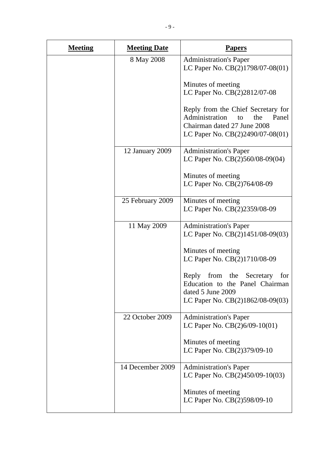| <b>Meeting</b> | <b>Meeting Date</b> | <b>Papers</b>                                                                                                                                 |
|----------------|---------------------|-----------------------------------------------------------------------------------------------------------------------------------------------|
|                | 8 May 2008          | <b>Administration's Paper</b><br>LC Paper No. CB(2)1798/07-08(01)                                                                             |
|                |                     | Minutes of meeting<br>LC Paper No. CB(2)2812/07-08                                                                                            |
|                |                     | Reply from the Chief Secretary for<br>Administration<br>the<br>Panel<br>to<br>Chairman dated 27 June 2008<br>LC Paper No. CB(2)2490/07-08(01) |
|                | 12 January 2009     | <b>Administration's Paper</b><br>LC Paper No. CB(2)560/08-09(04)                                                                              |
|                |                     | Minutes of meeting<br>LC Paper No. CB(2)764/08-09                                                                                             |
|                | 25 February 2009    | Minutes of meeting<br>LC Paper No. CB(2)2359/08-09                                                                                            |
|                | 11 May 2009         | <b>Administration's Paper</b><br>LC Paper No. CB(2)1451/08-09(03)                                                                             |
|                |                     | Minutes of meeting<br>LC Paper No. CB(2)1710/08-09                                                                                            |
|                |                     | Reply from the Secretary<br>for<br>Education to the Panel Chairman<br>dated 5 June 2009<br>LC Paper No. CB(2)1862/08-09(03)                   |
|                | 22 October 2009     | <b>Administration's Paper</b><br>LC Paper No. $CB(2)6/09-10(01)$                                                                              |
|                |                     | Minutes of meeting<br>LC Paper No. CB(2)379/09-10                                                                                             |
|                | 14 December 2009    | <b>Administration's Paper</b><br>LC Paper No. CB(2)450/09-10(03)                                                                              |
|                |                     | Minutes of meeting<br>LC Paper No. CB(2)598/09-10                                                                                             |